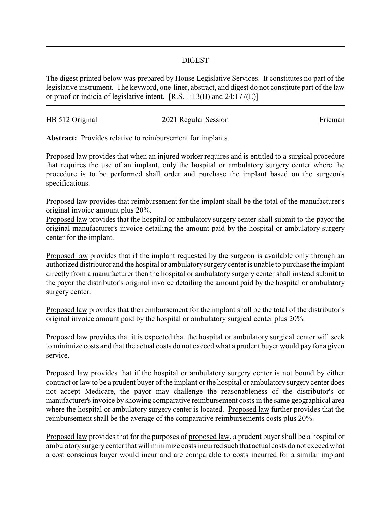## DIGEST

The digest printed below was prepared by House Legislative Services. It constitutes no part of the legislative instrument. The keyword, one-liner, abstract, and digest do not constitute part of the law or proof or indicia of legislative intent. [R.S. 1:13(B) and 24:177(E)]

| HB 512 Original | 2021 Regular Session | Frieman |
|-----------------|----------------------|---------|
|                 |                      |         |

**Abstract:** Provides relative to reimbursement for implants.

Proposed law provides that when an injured worker requires and is entitled to a surgical procedure that requires the use of an implant, only the hospital or ambulatory surgery center where the procedure is to be performed shall order and purchase the implant based on the surgeon's specifications.

Proposed law provides that reimbursement for the implant shall be the total of the manufacturer's original invoice amount plus 20%.

Proposed law provides that the hospital or ambulatory surgery center shall submit to the payor the original manufacturer's invoice detailing the amount paid by the hospital or ambulatory surgery center for the implant.

Proposed law provides that if the implant requested by the surgeon is available only through an authorized distributor and the hospital or ambulatorysurgerycenter is unable to purchase the implant directly from a manufacturer then the hospital or ambulatory surgery center shall instead submit to the payor the distributor's original invoice detailing the amount paid by the hospital or ambulatory surgery center.

Proposed law provides that the reimbursement for the implant shall be the total of the distributor's original invoice amount paid by the hospital or ambulatory surgical center plus 20%.

Proposed law provides that it is expected that the hospital or ambulatory surgical center will seek to minimize costs and that the actual costs do not exceed what a prudent buyer would pay for a given service.

Proposed law provides that if the hospital or ambulatory surgery center is not bound by either contract or law to be a prudent buyer of the implant or the hospital or ambulatory surgery center does not accept Medicare, the payor may challenge the reasonableness of the distributor's or manufacturer's invoice by showing comparative reimbursement costs in the same geographical area where the hospital or ambulatory surgery center is located. Proposed law further provides that the reimbursement shall be the average of the comparative reimbursements costs plus 20%.

Proposed law provides that for the purposes of proposed law, a prudent buyer shall be a hospital or ambulatorysurgerycenter that will minimize costs incurred such that actual costs do not exceed what a cost conscious buyer would incur and are comparable to costs incurred for a similar implant